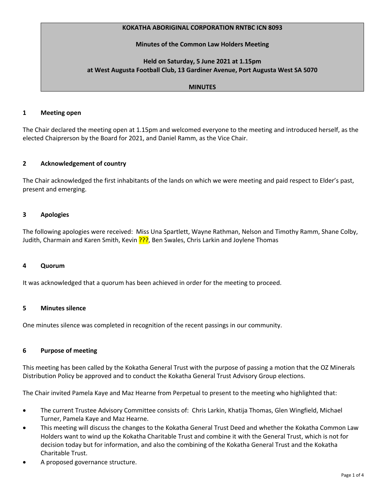## **KOKATHA ABORIGINAL CORPORATION RNTBC ICN 8093**

## **Minutes of the Common Law Holders Meeting**

# **Held on Saturday, 5 June 2021 at 1.15pm at West Augusta Football Club, 13 Gardiner Avenue, Port Augusta West SA 5070**

### **MINUTES**

#### **1 Meeting open**

The Chair declared the meeting open at 1.15pm and welcomed everyone to the meeting and introduced herself, as the elected Chaiprerson by the Board for 2021, and Daniel Ramm, as the Vice Chair.

### **2 Acknowledgement of country**

The Chair acknowledged the first inhabitants of the lands on which we were meeting and paid respect to Elder's past, present and emerging.

### **3 Apologies**

The following apologies were received: Miss Una Spartlett, Wayne Rathman, Nelson and Timothy Ramm, Shane Colby, Judith, Charmain and Karen Smith, Kevin ???, Ben Swales, Chris Larkin and Joylene Thomas

#### **4 Quorum**

It was acknowledged that a quorum has been achieved in order for the meeting to proceed.

# **5 Minutes silence**

One minutes silence was completed in recognition of the recent passings in our community.

#### **6 Purpose of meeting**

This meeting has been called by the Kokatha General Trust with the purpose of passing a motion that the OZ Minerals Distribution Policy be approved and to conduct the Kokatha General Trust Advisory Group elections.

The Chair invited Pamela Kaye and Maz Hearne from Perpetual to present to the meeting who highlighted that:

- The current Trustee Advisory Committee consists of: Chris Larkin, Khatija Thomas, Glen Wingfield, Michael Turner, Pamela Kaye and Maz Hearne.
- This meeting will discuss the changes to the Kokatha General Trust Deed and whether the Kokatha Common Law Holders want to wind up the Kokatha Charitable Trust and combine it with the General Trust, which is not for decision today but for information, and also the combining of the Kokatha General Trust and the Kokatha Charitable Trust.
- A proposed governance structure.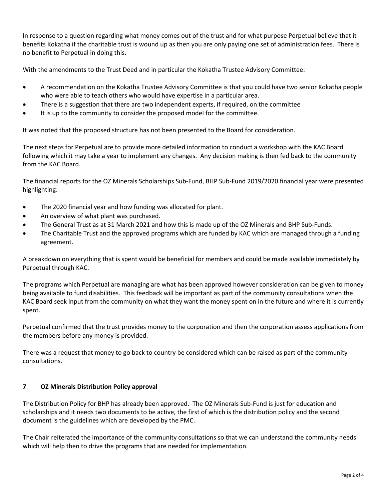In response to a question regarding what money comes out of the trust and for what purpose Perpetual believe that it benefits Kokatha if the charitable trust is wound up as then you are only paying one set of administration fees. There is no benefit to Perpetual in doing this.

With the amendments to the Trust Deed and in particular the Kokatha Trustee Advisory Committee:

- A recommendation on the Kokatha Trustee Advisory Committee is that you could have two senior Kokatha people who were able to teach others who would have expertise in a particular area.
- There is a suggestion that there are two independent experts, if required, on the committee
- It is up to the community to consider the proposed model for the committee.

It was noted that the proposed structure has not been presented to the Board for consideration.

The next steps for Perpetual are to provide more detailed information to conduct a workshop with the KAC Board following which it may take a year to implement any changes. Any decision making is then fed back to the community from the KAC Board.

The financial reports for the OZ Minerals Scholarships Sub-Fund, BHP Sub-Fund 2019/2020 financial year were presented highlighting:

- The 2020 financial year and how funding was allocated for plant.
- An overview of what plant was purchased.
- The General Trust as at 31 March 2021 and how this is made up of the OZ Minerals and BHP Sub-Funds.
- The Charitable Trust and the approved programs which are funded by KAC which are managed through a funding agreement.

A breakdown on everything that is spent would be beneficial for members and could be made available immediately by Perpetual through KAC.

The programs which Perpetual are managing are what has been approved however consideration can be given to money being available to fund disabilities. This feedback will be important as part of the community consultations when the KAC Board seek input from the community on what they want the money spent on in the future and where it is currently spent.

Perpetual confirmed that the trust provides money to the corporation and then the corporation assess applications from the members before any money is provided.

There was a request that money to go back to country be considered which can be raised as part of the community consultations.

# **7 OZ Minerals Distribution Policy approval**

The Distribution Policy for BHP has already been approved. The OZ Minerals Sub-Fund is just for education and scholarships and it needs two documents to be active, the first of which is the distribution policy and the second document is the guidelines which are developed by the PMC.

The Chair reiterated the importance of the community consultations so that we can understand the community needs which will help then to drive the programs that are needed for implementation.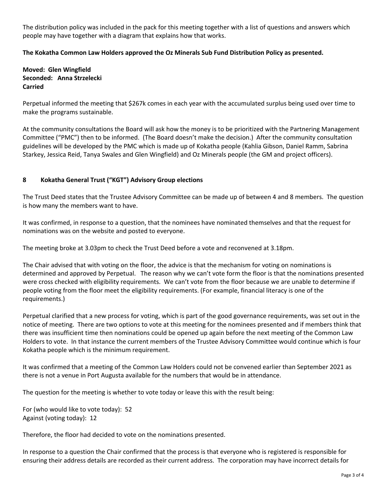The distribution policy was included in the pack for this meeting together with a list of questions and answers which people may have together with a diagram that explains how that works.

# **The Kokatha Common Law Holders approved the Oz Minerals Sub Fund Distribution Policy as presented.**

**Moved: Glen Wingfield Seconded: Anna Strzelecki Carried**

Perpetual informed the meeting that \$267k comes in each year with the accumulated surplus being used over time to make the programs sustainable.

At the community consultations the Board will ask how the money is to be prioritized with the Partnering Management Committee ("PMC") then to be informed. (The Board doesn't make the decision.) After the community consultation guidelines will be developed by the PMC which is made up of Kokatha people (Kahlia Gibson, Daniel Ramm, Sabrina Starkey, Jessica Reid, Tanya Swales and Glen Wingfield) and Oz Minerals people (the GM and project officers).

## **8 Kokatha General Trust ("KGT") Advisory Group elections**

The Trust Deed states that the Trustee Advisory Committee can be made up of between 4 and 8 members. The question is how many the members want to have.

It was confirmed, in response to a question, that the nominees have nominated themselves and that the request for nominations was on the website and posted to everyone.

The meeting broke at 3.03pm to check the Trust Deed before a vote and reconvened at 3.18pm.

The Chair advised that with voting on the floor, the advice is that the mechanism for voting on nominations is determined and approved by Perpetual. The reason why we can't vote form the floor is that the nominations presented were cross checked with eligibility requirements. We can't vote from the floor because we are unable to determine if people voting from the floor meet the eligibility requirements. (For example, financial literacy is one of the requirements.)

Perpetual clarified that a new process for voting, which is part of the good governance requirements, was set out in the notice of meeting. There are two options to vote at this meeting for the nominees presented and if members think that there was insufficient time then nominations could be opened up again before the next meeting of the Common Law Holders to vote. In that instance the current members of the Trustee Advisory Committee would continue which is four Kokatha people which is the minimum requirement.

It was confirmed that a meeting of the Common Law Holders could not be convened earlier than September 2021 as there is not a venue in Port Augusta available for the numbers that would be in attendance.

The question for the meeting is whether to vote today or leave this with the result being:

For (who would like to vote today): 52 Against (voting today): 12

Therefore, the floor had decided to vote on the nominations presented.

In response to a question the Chair confirmed that the process is that everyone who is registered is responsible for ensuring their address details are recorded as their current address. The corporation may have incorrect details for